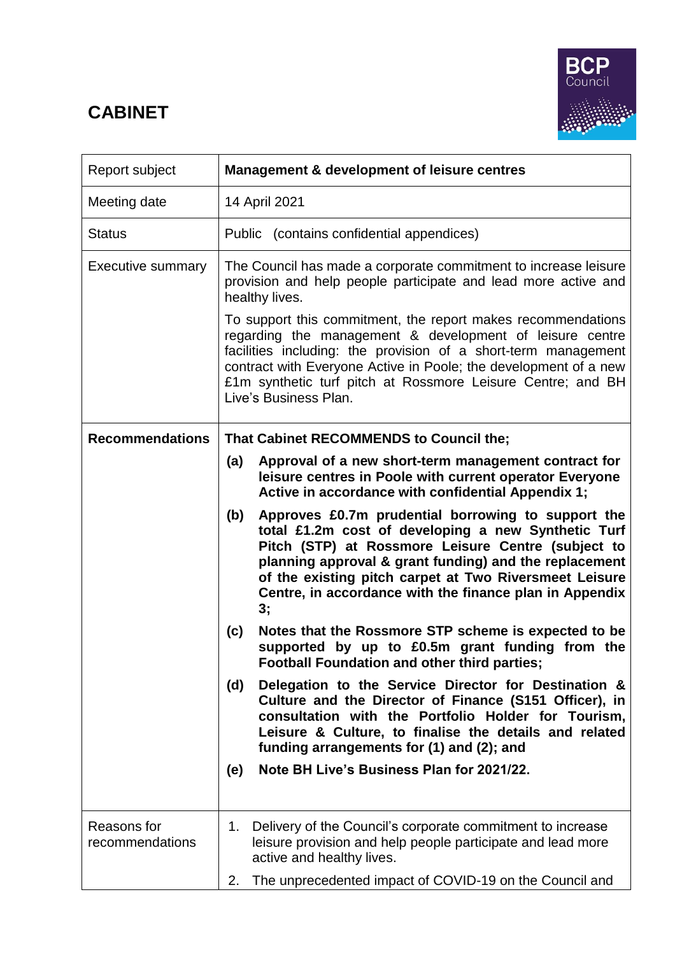# **CABINET**



| Report subject                 | <b>Management &amp; development of leisure centres</b>                                                                                                                                                                                                                                                                                                      |  |  |  |
|--------------------------------|-------------------------------------------------------------------------------------------------------------------------------------------------------------------------------------------------------------------------------------------------------------------------------------------------------------------------------------------------------------|--|--|--|
| Meeting date                   | 14 April 2021                                                                                                                                                                                                                                                                                                                                               |  |  |  |
| Status                         | Public (contains confidential appendices)                                                                                                                                                                                                                                                                                                                   |  |  |  |
| <b>Executive summary</b>       | The Council has made a corporate commitment to increase leisure<br>provision and help people participate and lead more active and<br>healthy lives.<br>To support this commitment, the report makes recommendations                                                                                                                                         |  |  |  |
|                                | regarding the management & development of leisure centre<br>facilities including: the provision of a short-term management<br>contract with Everyone Active in Poole; the development of a new<br>£1m synthetic turf pitch at Rossmore Leisure Centre; and BH<br>Live's Business Plan.                                                                      |  |  |  |
| <b>Recommendations</b>         | That Cabinet RECOMMENDS to Council the;                                                                                                                                                                                                                                                                                                                     |  |  |  |
|                                | Approval of a new short-term management contract for<br>(a)<br>leisure centres in Poole with current operator Everyone<br>Active in accordance with confidential Appendix 1;                                                                                                                                                                                |  |  |  |
|                                | Approves £0.7m prudential borrowing to support the<br>(b)<br>total £1.2m cost of developing a new Synthetic Turf<br>Pitch (STP) at Rossmore Leisure Centre (subject to<br>planning approval & grant funding) and the replacement<br>of the existing pitch carpet at Two Riversmeet Leisure<br>Centre, in accordance with the finance plan in Appendix<br>3; |  |  |  |
|                                | Notes that the Rossmore STP scheme is expected to be<br>(c)<br>supported by up to £0.5m grant funding from the<br><b>Football Foundation and other third parties;</b>                                                                                                                                                                                       |  |  |  |
|                                | Delegation to the Service Director for Destination &<br>(d)<br>Culture and the Director of Finance (S151 Officer), in<br>consultation with the Portfolio Holder for Tourism,<br>Leisure & Culture, to finalise the details and related<br>funding arrangements for (1) and (2); and                                                                         |  |  |  |
|                                | Note BH Live's Business Plan for 2021/22.<br>(e)                                                                                                                                                                                                                                                                                                            |  |  |  |
| Reasons for<br>recommendations | Delivery of the Council's corporate commitment to increase<br>1.<br>leisure provision and help people participate and lead more<br>active and healthy lives.<br>2.<br>The unprecedented impact of COVID-19 on the Council and                                                                                                                               |  |  |  |
|                                |                                                                                                                                                                                                                                                                                                                                                             |  |  |  |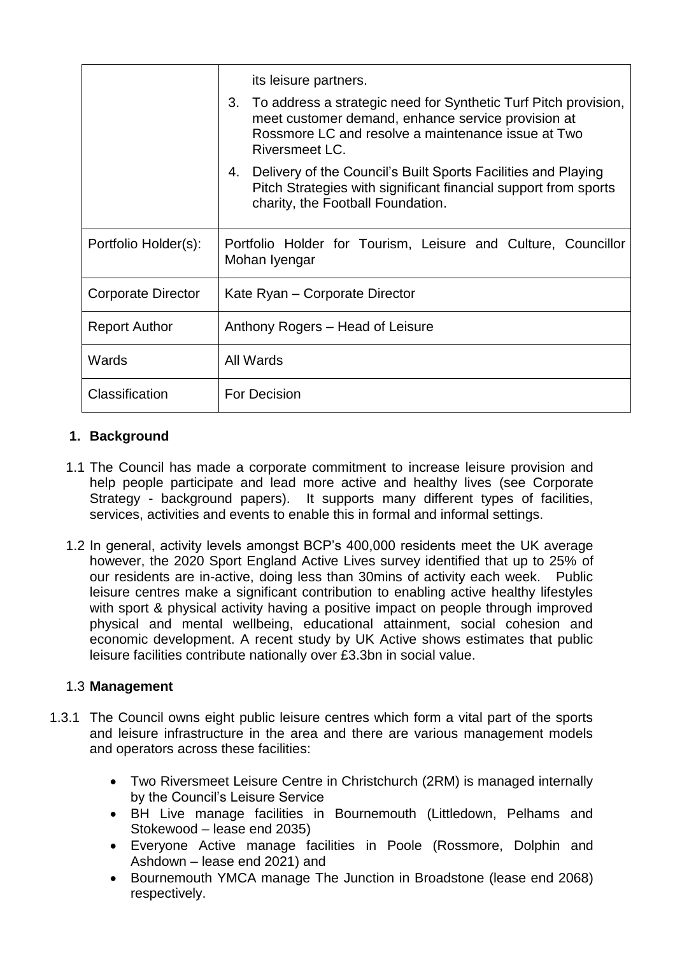|                      | its leisure partners.<br>3. To address a strategic need for Synthetic Turf Pitch provision,<br>meet customer demand, enhance service provision at<br>Rossmore LC and resolve a maintenance issue at Two<br>Riversmeet LC.<br>4. Delivery of the Council's Built Sports Facilities and Playing |  |
|----------------------|-----------------------------------------------------------------------------------------------------------------------------------------------------------------------------------------------------------------------------------------------------------------------------------------------|--|
|                      | Pitch Strategies with significant financial support from sports<br>charity, the Football Foundation.                                                                                                                                                                                          |  |
| Portfolio Holder(s): | Portfolio Holder for Tourism, Leisure and Culture, Councillor<br>Mohan Iyengar                                                                                                                                                                                                                |  |
| Corporate Director   | Kate Ryan – Corporate Director                                                                                                                                                                                                                                                                |  |
| <b>Report Author</b> | Anthony Rogers - Head of Leisure                                                                                                                                                                                                                                                              |  |
| Wards                | All Wards                                                                                                                                                                                                                                                                                     |  |
| Classification       | <b>For Decision</b>                                                                                                                                                                                                                                                                           |  |

# **1. Background**

- 1.1 The Council has made a corporate commitment to increase leisure provision and help people participate and lead more active and healthy lives (see Corporate Strategy - background papers). It supports many different types of facilities, services, activities and events to enable this in formal and informal settings.
- 1.2 In general, activity levels amongst BCP's 400,000 residents meet the UK average however, the 2020 Sport England Active Lives survey identified that up to 25% of our residents are in-active, doing less than 30mins of activity each week. Public leisure centres make a significant contribution to enabling active healthy lifestyles with sport & physical activity having a positive impact on people through improved physical and mental wellbeing, educational attainment, social cohesion and economic development. A recent study by UK Active shows estimates that public leisure facilities contribute nationally over £3.3bn in social value.

## 1.3 **Management**

- 1.3.1 The Council owns eight public leisure centres which form a vital part of the sports and leisure infrastructure in the area and there are various management models and operators across these facilities:
	- Two Riversmeet Leisure Centre in Christchurch (2RM) is managed internally by the Council's Leisure Service
	- BH Live manage facilities in Bournemouth (Littledown, Pelhams and Stokewood – lease end 2035)
	- Everyone Active manage facilities in Poole (Rossmore, Dolphin and Ashdown – lease end 2021) and
	- Bournemouth YMCA manage The Junction in Broadstone (lease end 2068) respectively.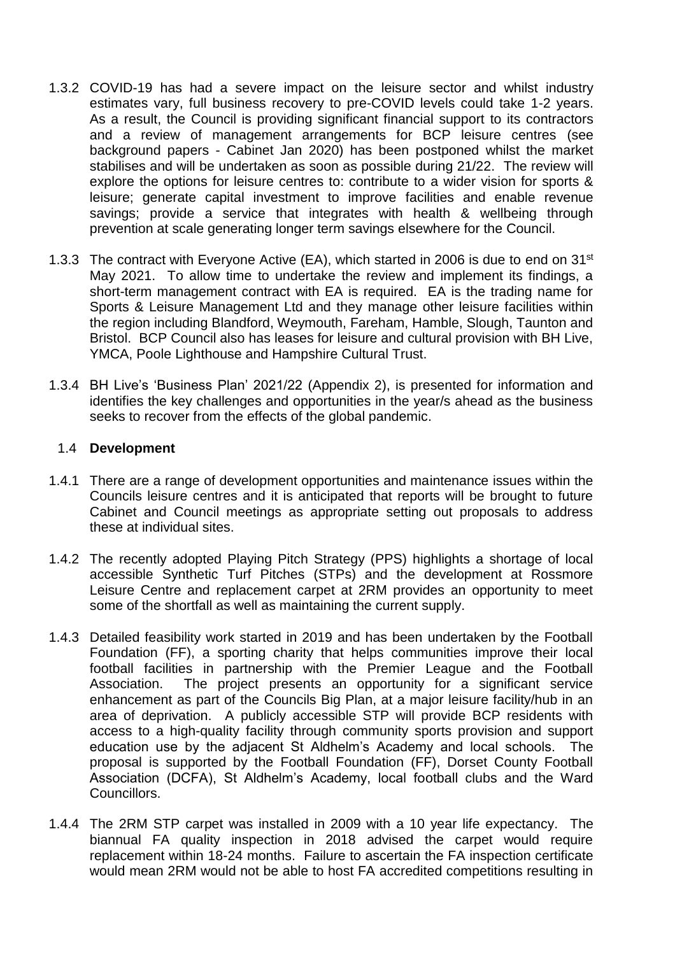- 1.3.2 COVID-19 has had a severe impact on the leisure sector and whilst industry estimates vary, full business recovery to pre-COVID levels could take 1-2 years. As a result, the Council is providing significant financial support to its contractors and a review of management arrangements for BCP leisure centres (see background papers - Cabinet Jan 2020) has been postponed whilst the market stabilises and will be undertaken as soon as possible during 21/22. The review will explore the options for leisure centres to: contribute to a wider vision for sports & leisure; generate capital investment to improve facilities and enable revenue savings; provide a service that integrates with health & wellbeing through prevention at scale generating longer term savings elsewhere for the Council.
- 1.3.3 The contract with Everyone Active (EA), which started in 2006 is due to end on 31<sup>st</sup> May 2021. To allow time to undertake the review and implement its findings, a short-term management contract with EA is required. EA is the trading name for Sports & Leisure Management Ltd and they manage other leisure facilities within the region including Blandford, Weymouth, Fareham, Hamble, Slough, Taunton and Bristol. BCP Council also has leases for leisure and cultural provision with BH Live, YMCA, Poole Lighthouse and Hampshire Cultural Trust.
- 1.3.4 BH Live's 'Business Plan' 2021/22 (Appendix 2), is presented for information and identifies the key challenges and opportunities in the year/s ahead as the business seeks to recover from the effects of the global pandemic.

#### 1.4 **Development**

- 1.4.1 There are a range of development opportunities and maintenance issues within the Councils leisure centres and it is anticipated that reports will be brought to future Cabinet and Council meetings as appropriate setting out proposals to address these at individual sites.
- 1.4.2 The recently adopted Playing Pitch Strategy (PPS) highlights a shortage of local accessible Synthetic Turf Pitches (STPs) and the development at Rossmore Leisure Centre and replacement carpet at 2RM provides an opportunity to meet some of the shortfall as well as maintaining the current supply.
- 1.4.3 Detailed feasibility work started in 2019 and has been undertaken by the Football Foundation (FF), a sporting charity that helps communities improve their local football facilities in partnership with the Premier League and the Football Association. The project presents an opportunity for a significant service enhancement as part of the Councils Big Plan, at a major leisure facility/hub in an area of deprivation. A publicly accessible STP will provide BCP residents with access to a high-quality facility through community sports provision and support education use by the adjacent St Aldhelm's Academy and local schools. The proposal is supported by the Football Foundation (FF), Dorset County Football Association (DCFA), St Aldhelm's Academy, local football clubs and the Ward Councillors.
- 1.4.4 The 2RM STP carpet was installed in 2009 with a 10 year life expectancy. The biannual FA quality inspection in 2018 advised the carpet would require replacement within 18-24 months. Failure to ascertain the FA inspection certificate would mean 2RM would not be able to host FA accredited competitions resulting in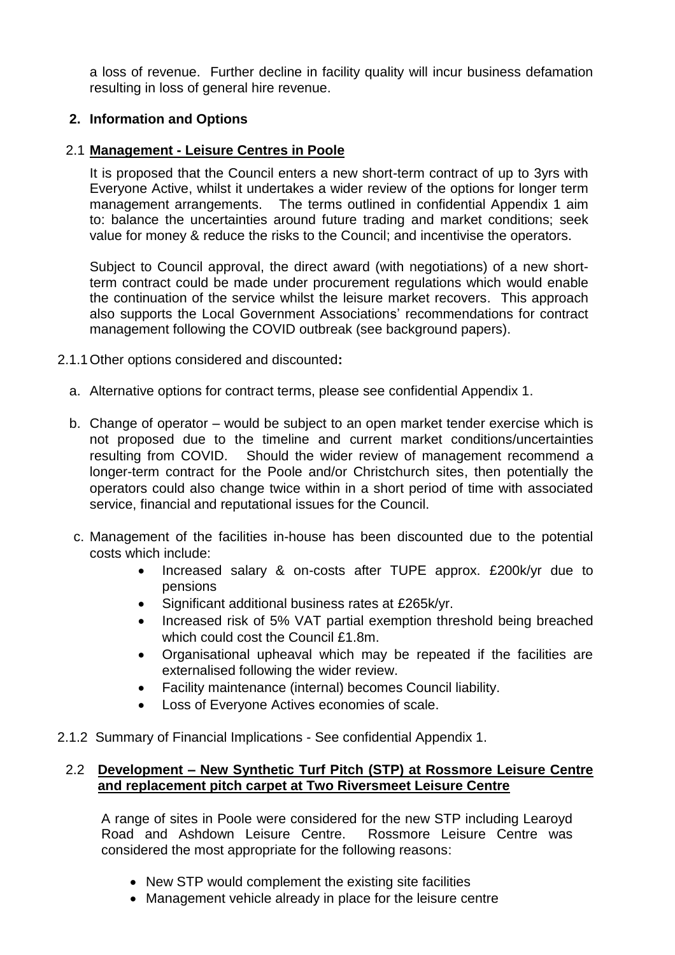a loss of revenue. Further decline in facility quality will incur business defamation resulting in loss of general hire revenue.

## **2. Information and Options**

## 2.1 **Management - Leisure Centres in Poole**

It is proposed that the Council enters a new short-term contract of up to 3yrs with Everyone Active, whilst it undertakes a wider review of the options for longer term management arrangements. The terms outlined in confidential Appendix 1 aim to: balance the uncertainties around future trading and market conditions; seek value for money & reduce the risks to the Council; and incentivise the operators.

Subject to Council approval, the direct award (with negotiations) of a new shortterm contract could be made under procurement regulations which would enable the continuation of the service whilst the leisure market recovers. This approach also supports the Local Government Associations' recommendations for contract management following the COVID outbreak (see background papers).

- 2.1.1Other options considered and discounted**:** 
	- a. Alternative options for contract terms, please see confidential Appendix 1.
	- b. Change of operator would be subject to an open market tender exercise which is not proposed due to the timeline and current market conditions/uncertainties resulting from COVID. Should the wider review of management recommend a longer-term contract for the Poole and/or Christchurch sites, then potentially the operators could also change twice within in a short period of time with associated service, financial and reputational issues for the Council.
	- c. Management of the facilities in-house has been discounted due to the potential costs which include:
		- Increased salary & on-costs after TUPE approx. £200k/yr due to pensions
		- Significant additional business rates at £265k/yr.
		- Increased risk of 5% VAT partial exemption threshold being breached which could cost the Council £1.8m.
		- Organisational upheaval which may be repeated if the facilities are externalised following the wider review.
		- Facility maintenance (internal) becomes Council liability.
		- Loss of Everyone Actives economies of scale.
- 2.1.2 Summary of Financial Implications See confidential Appendix 1.

### 2.2 **Development – New Synthetic Turf Pitch (STP) at Rossmore Leisure Centre and replacement pitch carpet at Two Riversmeet Leisure Centre**

A range of sites in Poole were considered for the new STP including Learoyd Road and Ashdown Leisure Centre. Rossmore Leisure Centre was considered the most appropriate for the following reasons:

- New STP would complement the existing site facilities
- Management vehicle already in place for the leisure centre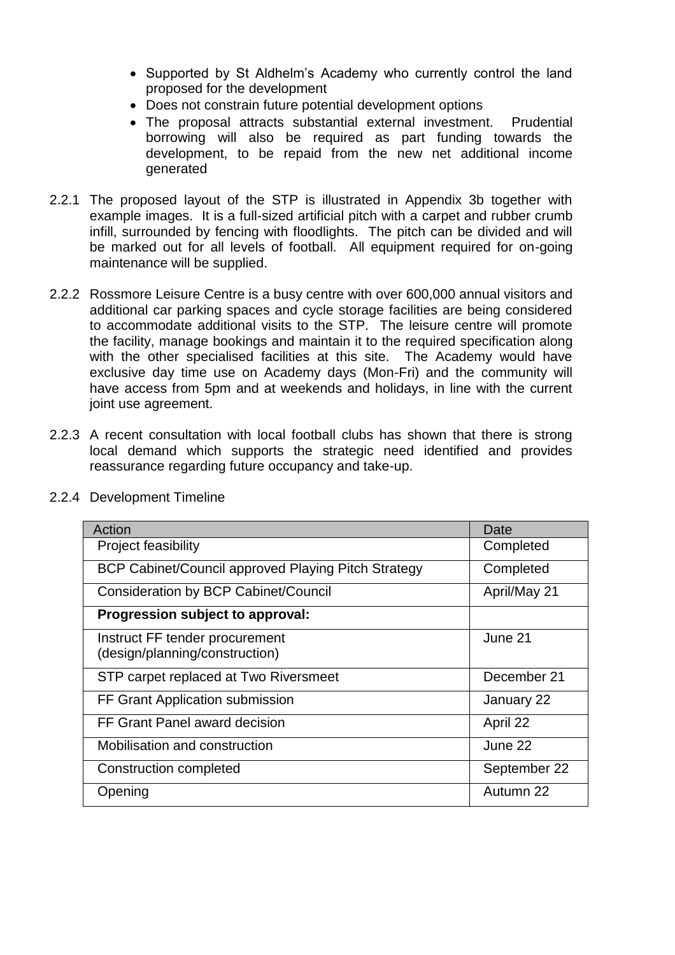- Supported by St Aldhelm's Academy who currently control the land proposed for the development
- Does not constrain future potential development options
- The proposal attracts substantial external investment. Prudential borrowing will also be required as part funding towards the development, to be repaid from the new net additional income generated
- 2.2.1 The proposed layout of the STP is illustrated in Appendix 3b together with example images. It is a full-sized artificial pitch with a carpet and rubber crumb infill, surrounded by fencing with floodlights. The pitch can be divided and will be marked out for all levels of football. All equipment required for on-going maintenance will be supplied.
- 2.2.2 Rossmore Leisure Centre is a busy centre with over 600,000 annual visitors and additional car parking spaces and cycle storage facilities are being considered to accommodate additional visits to the STP. The leisure centre will promote the facility, manage bookings and maintain it to the required specification along with the other specialised facilities at this site. The Academy would have exclusive day time use on Academy days (Mon-Fri) and the community will have access from 5pm and at weekends and holidays, in line with the current joint use agreement.
- 2.2.3 A recent consultation with local football clubs has shown that there is strong local demand which supports the strategic need identified and provides reassurance regarding future occupancy and take-up.

| Action                                                           | Date         |
|------------------------------------------------------------------|--------------|
| <b>Project feasibility</b>                                       | Completed    |
| BCP Cabinet/Council approved Playing Pitch Strategy              | Completed    |
| <b>Consideration by BCP Cabinet/Council</b>                      | April/May 21 |
| Progression subject to approval:                                 |              |
| Instruct FF tender procurement<br>(design/planning/construction) | June 21      |
| STP carpet replaced at Two Riversmeet                            | December 21  |
| FF Grant Application submission                                  | January 22   |
| FF Grant Panel award decision                                    | April 22     |
| Mobilisation and construction                                    | June 22      |
| Construction completed                                           | September 22 |
| Opening                                                          | Autumn 22    |

2.2.4 Development Timeline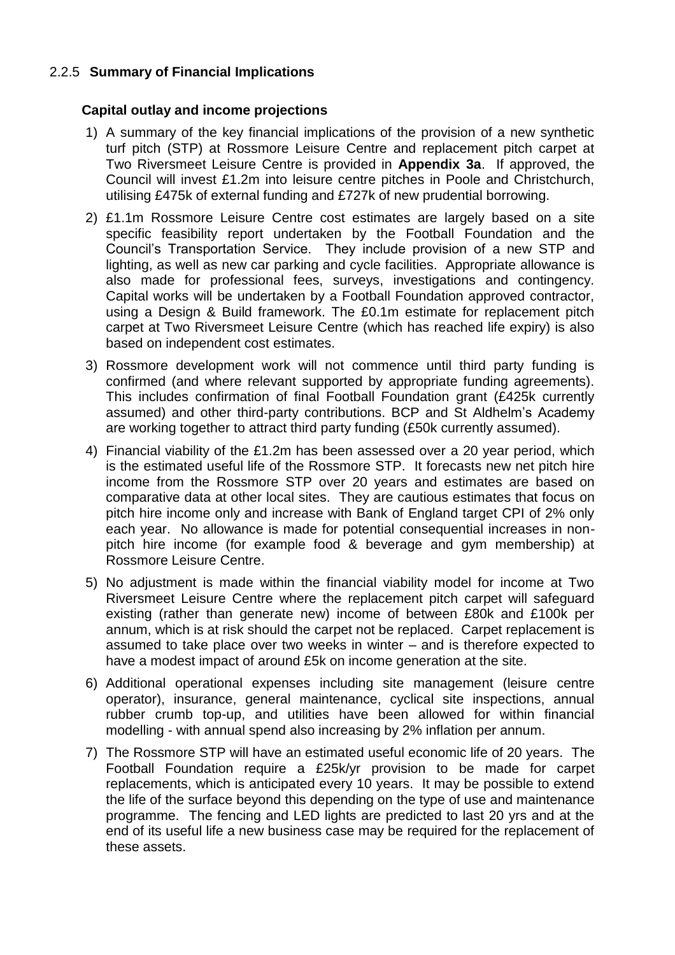## 2.2.5 **Summary of Financial Implications**

#### **Capital outlay and income projections**

- 1) A summary of the key financial implications of the provision of a new synthetic turf pitch (STP) at Rossmore Leisure Centre and replacement pitch carpet at Two Riversmeet Leisure Centre is provided in **Appendix 3a**. If approved, the Council will invest £1.2m into leisure centre pitches in Poole and Christchurch, utilising £475k of external funding and £727k of new prudential borrowing.
- 2) £1.1m Rossmore Leisure Centre cost estimates are largely based on a site specific feasibility report undertaken by the Football Foundation and the Council's Transportation Service. They include provision of a new STP and lighting, as well as new car parking and cycle facilities. Appropriate allowance is also made for professional fees, surveys, investigations and contingency. Capital works will be undertaken by a Football Foundation approved contractor, using a Design & Build framework. The £0.1m estimate for replacement pitch carpet at Two Riversmeet Leisure Centre (which has reached life expiry) is also based on independent cost estimates.
- 3) Rossmore development work will not commence until third party funding is confirmed (and where relevant supported by appropriate funding agreements). This includes confirmation of final Football Foundation grant (£425k currently assumed) and other third-party contributions. BCP and St Aldhelm's Academy are working together to attract third party funding (£50k currently assumed).
- 4) Financial viability of the £1.2m has been assessed over a 20 year period, which is the estimated useful life of the Rossmore STP. It forecasts new net pitch hire income from the Rossmore STP over 20 years and estimates are based on comparative data at other local sites. They are cautious estimates that focus on pitch hire income only and increase with Bank of England target CPI of 2% only each year. No allowance is made for potential consequential increases in nonpitch hire income (for example food & beverage and gym membership) at Rossmore Leisure Centre.
- 5) No adjustment is made within the financial viability model for income at Two Riversmeet Leisure Centre where the replacement pitch carpet will safeguard existing (rather than generate new) income of between £80k and £100k per annum, which is at risk should the carpet not be replaced. Carpet replacement is assumed to take place over two weeks in winter – and is therefore expected to have a modest impact of around £5k on income generation at the site.
- 6) Additional operational expenses including site management (leisure centre operator), insurance, general maintenance, cyclical site inspections, annual rubber crumb top-up, and utilities have been allowed for within financial modelling - with annual spend also increasing by 2% inflation per annum.
- 7) The Rossmore STP will have an estimated useful economic life of 20 years. The Football Foundation require a £25k/yr provision to be made for carpet replacements, which is anticipated every 10 years. It may be possible to extend the life of the surface beyond this depending on the type of use and maintenance programme. The fencing and LED lights are predicted to last 20 yrs and at the end of its useful life a new business case may be required for the replacement of these assets.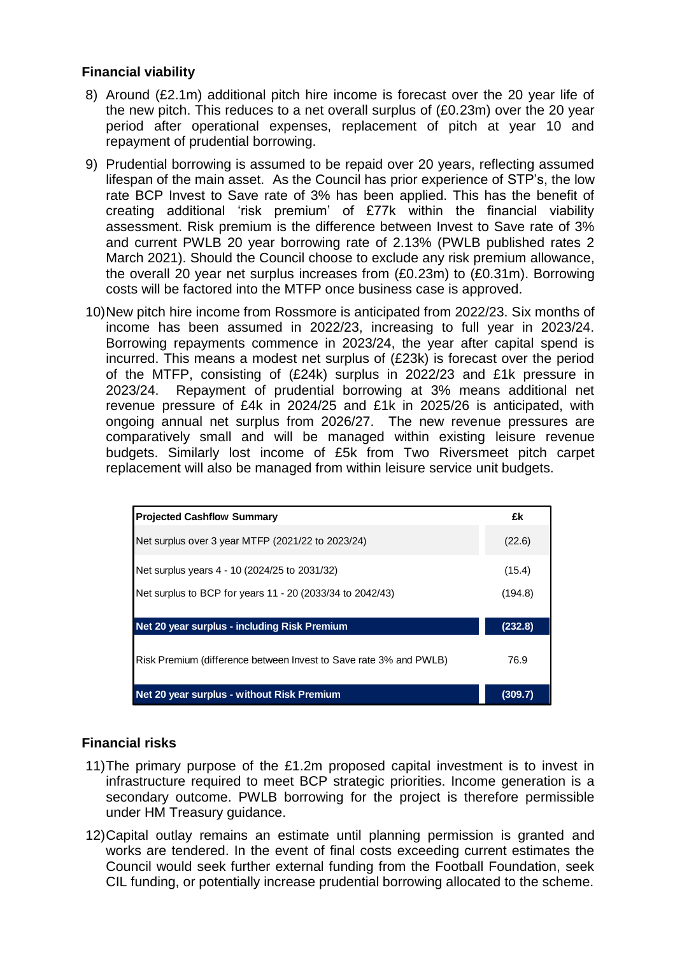### **Financial viability**

- 8) Around (£2.1m) additional pitch hire income is forecast over the 20 year life of the new pitch. This reduces to a net overall surplus of (£0.23m) over the 20 year period after operational expenses, replacement of pitch at year 10 and repayment of prudential borrowing.
- 9) Prudential borrowing is assumed to be repaid over 20 years, reflecting assumed lifespan of the main asset. As the Council has prior experience of STP's, the low rate BCP Invest to Save rate of 3% has been applied. This has the benefit of creating additional 'risk premium' of £77k within the financial viability assessment. Risk premium is the difference between Invest to Save rate of 3% and current PWLB 20 year borrowing rate of 2.13% (PWLB published rates 2 March 2021). Should the Council choose to exclude any risk premium allowance, the overall 20 year net surplus increases from (£0.23m) to (£0.31m). Borrowing costs will be factored into the MTFP once business case is approved.
- 10)New pitch hire income from Rossmore is anticipated from 2022/23. Six months of income has been assumed in 2022/23, increasing to full year in 2023/24. Borrowing repayments commence in 2023/24, the year after capital spend is incurred. This means a modest net surplus of (£23k) is forecast over the period of the MTFP, consisting of (£24k) surplus in 2022/23 and £1k pressure in 2023/24. Repayment of prudential borrowing at 3% means additional net revenue pressure of £4k in 2024/25 and £1k in 2025/26 is anticipated, with ongoing annual net surplus from 2026/27. The new revenue pressures are comparatively small and will be managed within existing leisure revenue budgets. Similarly lost income of £5k from Two Riversmeet pitch carpet replacement will also be managed from within leisure service unit budgets.

| <b>Projected Cashflow Summary</b>                                                                                                                                                                                                                                                                                                      | £k      |
|----------------------------------------------------------------------------------------------------------------------------------------------------------------------------------------------------------------------------------------------------------------------------------------------------------------------------------------|---------|
| Net surplus over 3 year MTFP (2021/22 to 2023/24)                                                                                                                                                                                                                                                                                      | (22.6)  |
| Net surplus years 4 - 10 (2024/25 to 2031/32)                                                                                                                                                                                                                                                                                          | (15.4)  |
| Net surplus to BCP for years 11 - 20 (2033/34 to 2042/43)                                                                                                                                                                                                                                                                              | (194.8) |
| Net 20 year surplus - including Risk Premium                                                                                                                                                                                                                                                                                           | (232.8) |
| Risk Premium (difference between Invest to Save rate 3% and PWLB)                                                                                                                                                                                                                                                                      | 76.9    |
| Net 20 year surplus - without Risk Premium                                                                                                                                                                                                                                                                                             | (309.7) |
| ancial risks                                                                                                                                                                                                                                                                                                                           |         |
| The primary purpose of the £1.2m proposed capital investment is to invest in<br>infrastructure required to meet BCP strategic priorities. Income generation is a<br>secondary outcome. PWLB borrowing for the project is therefore permissible<br>under HM Treasury guidance.                                                          |         |
| Capital outlay remains an estimate until planning permission is granted and<br>works are tendered. In the event of final costs exceeding current estimates the<br>Council would seek further external funding from the Football Foundation, seek<br>CIL funding, or potentially increase prudential borrowing allocated to the scheme. |         |

## **Financial risks**

- 11)The primary purpose of the £1.2m proposed capital investment is to invest in infrastructure required to meet BCP strategic priorities. Income generation is a secondary outcome. PWLB borrowing for the project is therefore permissible under HM Treasury guidance.
- 12)Capital outlay remains an estimate until planning permission is granted and works are tendered. In the event of final costs exceeding current estimates the Council would seek further external funding from the Football Foundation, seek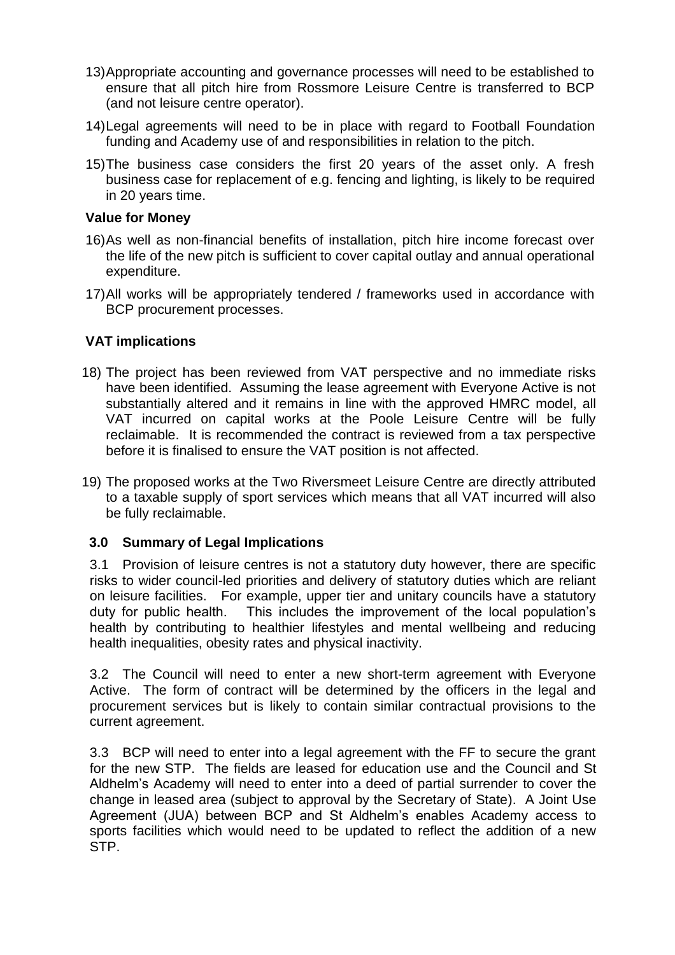- 13)Appropriate accounting and governance processes will need to be established to ensure that all pitch hire from Rossmore Leisure Centre is transferred to BCP (and not leisure centre operator).
- 14)Legal agreements will need to be in place with regard to Football Foundation funding and Academy use of and responsibilities in relation to the pitch.
- 15)The business case considers the first 20 years of the asset only. A fresh business case for replacement of e.g. fencing and lighting, is likely to be required in 20 years time.

#### **Value for Money**

- 16)As well as non-financial benefits of installation, pitch hire income forecast over the life of the new pitch is sufficient to cover capital outlay and annual operational expenditure.
- 17)All works will be appropriately tendered / frameworks used in accordance with BCP procurement processes.

#### **VAT implications**

- 18) The project has been reviewed from VAT perspective and no immediate risks have been identified. Assuming the lease agreement with Everyone Active is not substantially altered and it remains in line with the approved HMRC model, all VAT incurred on capital works at the Poole Leisure Centre will be fully reclaimable. It is recommended the contract is reviewed from a tax perspective before it is finalised to ensure the VAT position is not affected.
- 19) The proposed works at the Two Riversmeet Leisure Centre are directly attributed to a taxable supply of sport services which means that all VAT incurred will also be fully reclaimable.

#### **3.0 Summary of Legal Implications**

3.1 Provision of leisure centres is not a statutory duty however, there are specific risks to wider council-led priorities and delivery of statutory duties which are reliant on leisure facilities. For example, upper tier and unitary councils have a statutory duty for public health. This includes the improvement of the local population's health by contributing to healthier lifestyles and mental wellbeing and reducing health inequalities, obesity rates and physical inactivity.

3.2 The Council will need to enter a new short-term agreement with Everyone Active. The form of contract will be determined by the officers in the legal and procurement services but is likely to contain similar contractual provisions to the current agreement.

3.3 BCP will need to enter into a legal agreement with the FF to secure the grant for the new STP. The fields are leased for education use and the Council and St Aldhelm's Academy will need to enter into a deed of partial surrender to cover the change in leased area (subject to approval by the Secretary of State). A Joint Use Agreement (JUA) between BCP and St Aldhelm's enables Academy access to sports facilities which would need to be updated to reflect the addition of a new STP.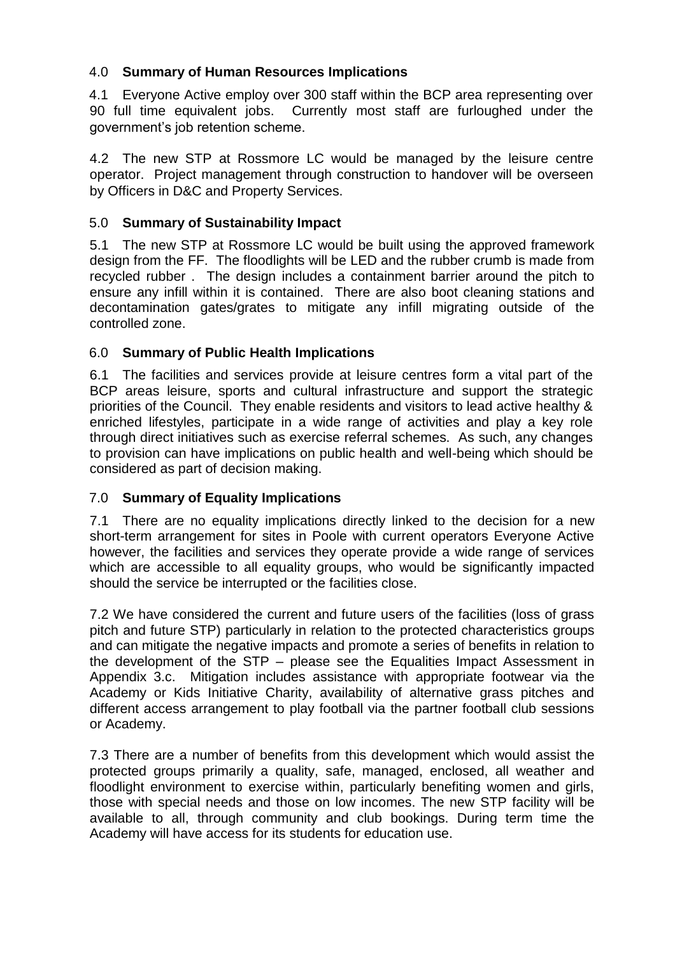## 4.0 **Summary of Human Resources Implications**

4.1 Everyone Active employ over 300 staff within the BCP area representing over 90 full time equivalent jobs. Currently most staff are furloughed under the government's job retention scheme.

4.2 The new STP at Rossmore LC would be managed by the leisure centre operator. Project management through construction to handover will be overseen by Officers in D&C and Property Services.

# 5.0 **Summary of Sustainability Impact**

5.1 The new STP at Rossmore LC would be built using the approved framework design from the FF. The floodlights will be LED and the rubber crumb is made from recycled rubber . The design includes a containment barrier around the pitch to ensure any infill within it is contained. There are also boot cleaning stations and decontamination gates/grates to mitigate any infill migrating outside of the controlled zone.

## 6.0 **Summary of Public Health Implications**

6.1 The facilities and services provide at leisure centres form a vital part of the BCP areas leisure, sports and cultural infrastructure and support the strategic priorities of the Council. They enable residents and visitors to lead active healthy & enriched lifestyles, participate in a wide range of activities and play a key role through direct initiatives such as exercise referral schemes. As such, any changes to provision can have implications on public health and well-being which should be considered as part of decision making.

## 7.0 **Summary of Equality Implications**

7.1 There are no equality implications directly linked to the decision for a new short-term arrangement for sites in Poole with current operators Everyone Active however, the facilities and services they operate provide a wide range of services which are accessible to all equality groups, who would be significantly impacted should the service be interrupted or the facilities close.

7.2 We have considered the current and future users of the facilities (loss of grass pitch and future STP) particularly in relation to the protected characteristics groups and can mitigate the negative impacts and promote a series of benefits in relation to the development of the STP – please see the Equalities Impact Assessment in Appendix 3.c. Mitigation includes assistance with appropriate footwear via the Academy or Kids Initiative Charity, availability of alternative grass pitches and different access arrangement to play football via the partner football club sessions or Academy.

7.3 There are a number of benefits from this development which would assist the protected groups primarily a quality, safe, managed, enclosed, all weather and floodlight environment to exercise within, particularly benefiting women and girls, those with special needs and those on low incomes. The new STP facility will be available to all, through community and club bookings. During term time the Academy will have access for its students for education use.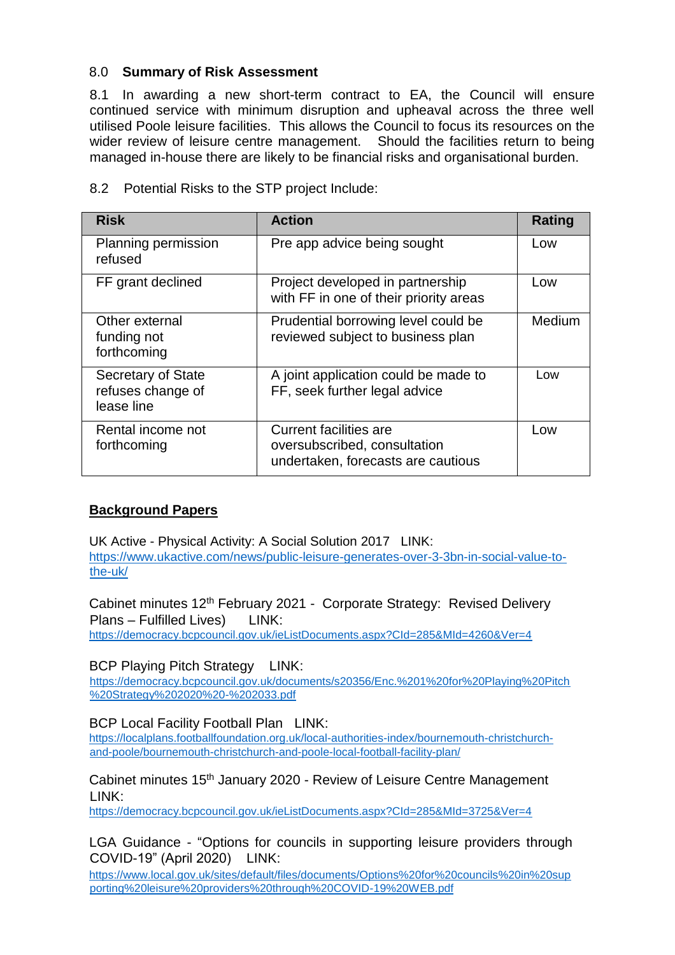#### 8.0 **Summary of Risk Assessment**

8.1 In awarding a new short-term contract to EA, the Council will ensure continued service with minimum disruption and upheaval across the three well utilised Poole leisure facilities. This allows the Council to focus its resources on the wider review of leisure centre management. Should the facilities return to being managed in-house there are likely to be financial risks and organisational burden.

| <b>Risk</b>                                           | <b>Action</b>                                                                                       | <b>Rating</b> |
|-------------------------------------------------------|-----------------------------------------------------------------------------------------------------|---------------|
| Planning permission<br>refused                        | Pre app advice being sought                                                                         | Low           |
| FF grant declined                                     | Project developed in partnership<br>with FF in one of their priority areas                          | Low           |
| Other external<br>funding not<br>forthcoming          | Prudential borrowing level could be<br>reviewed subject to business plan                            | Medium        |
| Secretary of State<br>refuses change of<br>lease line | A joint application could be made to<br>FF, seek further legal advice                               | Low           |
| Rental income not<br>forthcoming                      | <b>Current facilities are</b><br>oversubscribed, consultation<br>undertaken, forecasts are cautious | Low           |

8.2 Potential Risks to the STP project Include:

## **Background Papers**

UK Active - Physical Activity: A Social Solution 2017 LINK: [https://www.ukactive.com/news/public-leisure-generates-over-3-3bn-in-social-value-to](https://www.ukactive.com/news/public-leisure-generates-over-3-3bn-in-social-value-to-the-uk/)[the-uk/](https://www.ukactive.com/news/public-leisure-generates-over-3-3bn-in-social-value-to-the-uk/)

Cabinet minutes 12<sup>th</sup> February 2021 - Corporate Strategy: Revised Delivery Plans – Fulfilled Lives) LINK: <https://democracy.bcpcouncil.gov.uk/ieListDocuments.aspx?CId=285&MId=4260&Ver=4>

#### BCP Playing Pitch Strategy LINK:

[https://democracy.bcpcouncil.gov.uk/documents/s20356/Enc.%201%20for%20Playing%20Pitch](https://democracy.bcpcouncil.gov.uk/documents/s20356/Enc.%201%20for%20Playing%20Pitch%20Strategy%202020%20-%202033.pdf) [%20Strategy%202020%20-%202033.pdf](https://democracy.bcpcouncil.gov.uk/documents/s20356/Enc.%201%20for%20Playing%20Pitch%20Strategy%202020%20-%202033.pdf)

#### BCP Local Facility Football Plan LINK:

[https://localplans.footballfoundation.org.uk/local-authorities-index/bournemouth-christchurch](https://localplans.footballfoundation.org.uk/local-authorities-index/bournemouth-christchurch-and-poole/bournemouth-christchurch-and-poole-local-football-facility-plan/)[and-poole/bournemouth-christchurch-and-poole-local-football-facility-plan/](https://localplans.footballfoundation.org.uk/local-authorities-index/bournemouth-christchurch-and-poole/bournemouth-christchurch-and-poole-local-football-facility-plan/)

#### Cabinet minutes 15th January 2020 - Review of Leisure Centre Management LINK:

<https://democracy.bcpcouncil.gov.uk/ieListDocuments.aspx?CId=285&MId=3725&Ver=4>

LGA Guidance - "Options for councils in supporting leisure providers through COVID-19" (April 2020) LINK:

[https://www.local.gov.uk/sites/default/files/documents/Options%20for%20councils%20in%20sup](https://www.local.gov.uk/sites/default/files/documents/Options%20for%20councils%20in%20supporting%20leisure%20providers%20through%20COVID-19%20WEB.pdf) [porting%20leisure%20providers%20through%20COVID-19%20WEB.pdf](https://www.local.gov.uk/sites/default/files/documents/Options%20for%20councils%20in%20supporting%20leisure%20providers%20through%20COVID-19%20WEB.pdf)